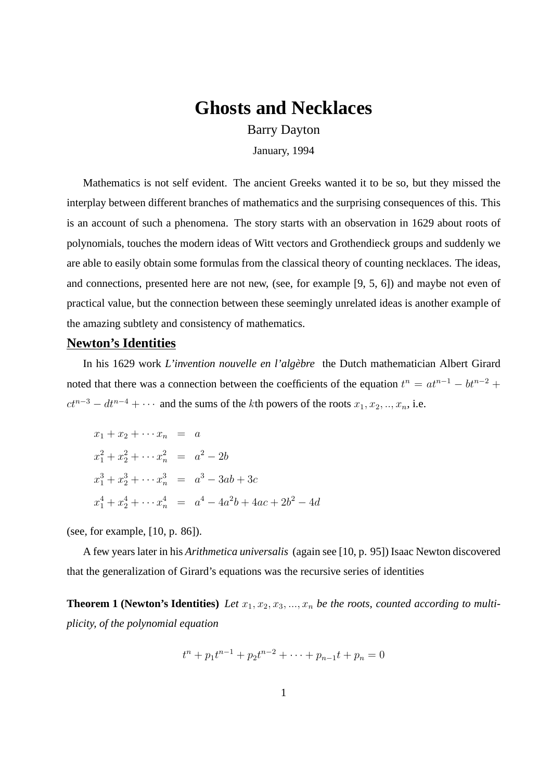# **Ghosts and Necklaces**

Barry Dayton

January, 1994

Mathematics is not self evident. The ancient Greeks wanted it to be so, but they missed the interplay between different branches of mathematics and the surprising consequences of this. This is an account of such a phenomena. The story starts with an observation in 1629 about roots of polynomials, touches the modern ideas of Witt vectors and Grothendieck groups and suddenly we are able to easily obtain some formulas from the classical theory of counting necklaces. The ideas, and connections, presented here are not new, (see, for example [9, 5, 6]) and maybe not even of practical value, but the connection between these seemingly unrelated ideas is another example of the amazing subtlety and consistency of mathematics.

# **Newton's Identities**

In his 1629 work *L'invention nouvelle en l'algèbre* the Dutch mathematician Albert Girard noted that there was a connection between the coefficients of the equation  $t^n = at^{n-1} - bt^{n-2} +$  $ct^{n-3} - dt^{n-4} + \cdots$  and the sums of the kth powers of the roots  $x_1, x_2, \ldots, x_n$ , i.e.

$$
x_1 + x_2 + \cdots x_n = a
$$
  
\n
$$
x_1^2 + x_2^2 + \cdots x_n^2 = a^2 - 2b
$$
  
\n
$$
x_1^3 + x_2^3 + \cdots x_n^3 = a^3 - 3ab + 3c
$$
  
\n
$$
x_1^4 + x_2^4 + \cdots x_n^4 = a^4 - 4a^2b + 4ac + 2b^2 - 4d
$$

(see, for example, [10, p. 86]).

A few years later in his *Arithmetica universalis* (again see [10, p. 95]) Isaac Newton discovered that the generalization of Girard's equations was the recursive series of identities

**Theorem 1 (Newton's Identities)** Let  $x_1, x_2, x_3, ..., x_n$  be the roots, counted according to multi*plicity, of the polynomial equation*

$$
t^{n} + p_{1}t^{n-1} + p_{2}t^{n-2} + \cdots + p_{n-1}t + p_{n} = 0
$$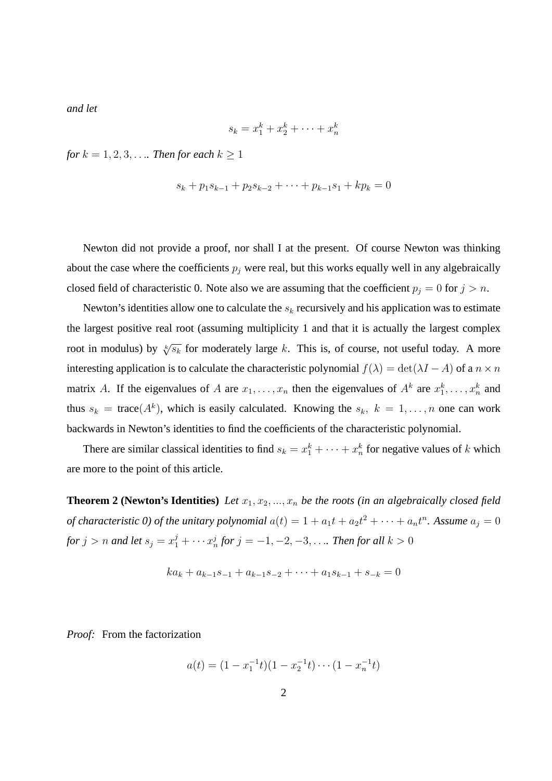*and let*

$$
s_k = x_1^k + x_2^k + \dots + x_n^k
$$

*for*  $k = 1, 2, 3, \ldots$  *Then for each*  $k \geq 1$ 

$$
s_k + p_1 s_{k-1} + p_2 s_{k-2} + \dots + p_{k-1} s_1 + k p_k = 0
$$

Newton did not provide a proof, nor shall I at the present. Of course Newton was thinking about the case where the coefficients  $p_j$  were real, but this works equally well in any algebraically closed field of characteristic 0. Note also we are assuming that the coefficient  $p_j = 0$  for  $j > n$ .

Newton's identities allow one to calculate the  $s_k$  recursively and his application was to estimate the largest positive real root (assuming multiplicity 1 and that it is actually the largest complex root in modulus) by  $\sqrt[k]{s_k}$  for moderately large k. This is, of course, not useful today. A more interesting application is to calculate the characteristic polynomial  $f(\lambda) = \det(\lambda I - A)$  of a  $n \times n$ matrix A. If the eigenvalues of A are  $x_1, \ldots, x_n$  then the eigenvalues of  $A^k$  are  $x_1^k, \ldots, x_n^k$  and thus  $s_k = \text{trace}(A^k)$ , which is easily calculated. Knowing the  $s_k$ ,  $k = 1, ..., n$  one can work backwards in Newton's identities to find the coefficients of the characteristic polynomial.

There are similar classical identities to find  $s_k = x_1^k + \cdots + x_n^k$  for negative values of k which are more to the point of this article.

**Theorem 2 (Newton's Identities)** Let  $x_1, x_2, ..., x_n$  be the roots (in an algebraically closed field *of characteristic 0) of the unitary polynomial*  $a(t) = 1 + a_1 t + a_2 t^2 + \cdots + a_n t^n$ . Assume  $a_j = 0$ for  $j > n$  and let  $s_j = x_1^j + \cdots x_n^j$  for  $j = -1, -2, -3, \ldots$  . Then for all  $k > 0$ 

$$
ka_k + a_{k-1}s_{-1} + a_{k-1}s_{-2} + \cdots + a_1s_{k-1} + s_{-k} = 0
$$

*Proof:* From the factorization

$$
a(t) = (1 - x_1^{-1}t)(1 - x_2^{-1}t) \cdots (1 - x_n^{-1}t)
$$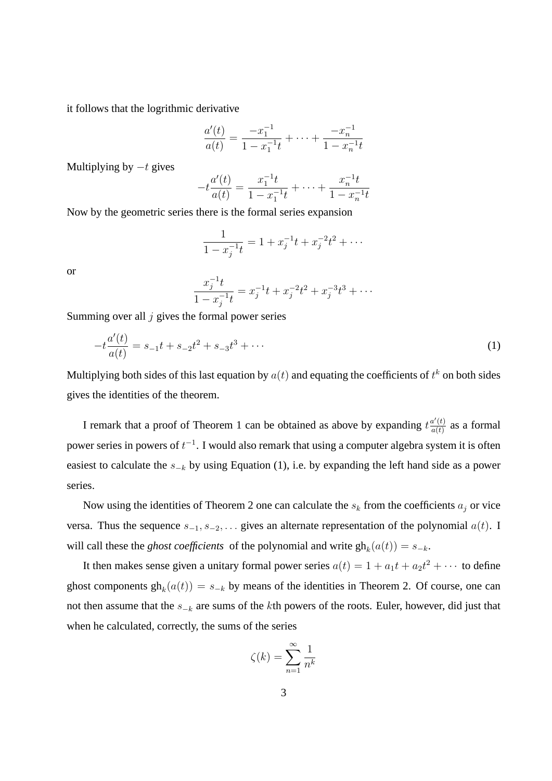it follows that the logrithmic derivative

$$
\frac{a'(t)}{a(t)} = \frac{-x_1^{-1}}{1 - x_1^{-1}t} + \dots + \frac{-x_n^{-1}}{1 - x_n^{-1}t}
$$

Multiplying by  $-t$  gives

$$
-t\frac{a'(t)}{a(t)} = \frac{x_1^{-1}t}{1-x_1^{-1}t} + \dots + \frac{x_n^{-1}t}{1-x_n^{-1}t}
$$

Now by the geometric series there is the formal series expansion

$$
\frac{1}{1 - x_j^{-1}t} = 1 + x_j^{-1}t + x_j^{-2}t^2 + \cdots
$$

or

$$
\frac{x_j^{-1}t}{1-x_j^{-1}t} = x_j^{-1}t + x_j^{-2}t^2 + x_j^{-3}t^3 + \cdots
$$

Summing over all  $j$  gives the formal power series

$$
-t\frac{a'(t)}{a(t)} = s_{-1}t + s_{-2}t^2 + s_{-3}t^3 + \cdots
$$
 (1)

Multiplying both sides of this last equation by  $a(t)$  and equating the coefficients of  $t^k$  on both sides gives the identities of the theorem.

I remark that a proof of Theorem 1 can be obtained as above by expanding  $t \frac{a'(t)}{a(t)}$  $rac{a'(t)}{a(t)}$  as a formal power series in powers of  $t^{-1}$ . I would also remark that using a computer algebra system it is often easiest to calculate the  $s_{-k}$  by using Equation (1), i.e. by expanding the left hand side as a power series.

Now using the identities of Theorem 2 one can calculate the  $s_k$  from the coefficients  $a_j$  or vice versa. Thus the sequence  $s_{-1}, s_{-2}, \ldots$  gives an alternate representation of the polynomial  $a(t)$ . I will call these the *ghost coefficients* of the polynomial and write  $gh_k(a(t)) = s_{-k}$ .

It then makes sense given a unitary formal power series  $a(t) = 1 + a_1t + a_2t^2 + \cdots$  to define ghost components  $gh_k(a(t)) = s_{-k}$  by means of the identities in Theorem 2. Of course, one can not then assume that the  $s_{-k}$  are sums of the kth powers of the roots. Euler, however, did just that when he calculated, correctly, the sums of the series

$$
\zeta(k) = \sum_{n=1}^{\infty} \frac{1}{n^k}
$$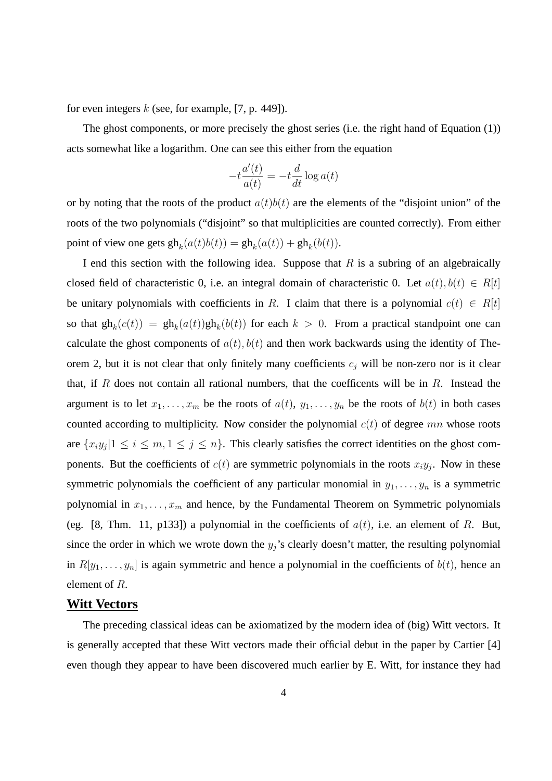for even integers  $k$  (see, for example, [7, p. 449]).

The ghost components, or more precisely the ghost series (i.e. the right hand of Equation (1)) acts somewhat like a logarithm. One can see this either from the equation

$$
-t\frac{a'(t)}{a(t)} = -t\frac{d}{dt}\log a(t)
$$

or by noting that the roots of the product  $a(t)b(t)$  are the elements of the "disjoint union" of the roots of the two polynomials ("disjoint" so that multiplicities are counted correctly). From either point of view one gets  $gh_k(a(t)b(t)) = gh_k(a(t)) + gh_k(b(t)).$ 

I end this section with the following idea. Suppose that  $R$  is a subring of an algebraically closed field of characteristic 0, i.e. an integral domain of characteristic 0. Let  $a(t)$ ,  $b(t) \in R[t]$ be unitary polynomials with coefficients in R. I claim that there is a polynomial  $c(t) \in R[t]$ so that  $gh_k(c(t)) = gh_k(a(t))gh_k(b(t))$  for each  $k > 0$ . From a practical standpoint one can calculate the ghost components of  $a(t)$ ,  $b(t)$  and then work backwards using the identity of Theorem 2, but it is not clear that only finitely many coefficients  $c_i$  will be non-zero nor is it clear that, if R does not contain all rational numbers, that the coefficents will be in R. Instead the argument is to let  $x_1, \ldots, x_m$  be the roots of  $a(t), y_1, \ldots, y_n$  be the roots of  $b(t)$  in both cases counted according to multiplicity. Now consider the polynomial  $c(t)$  of degree mn whose roots are  $\{x_iy_j|1 \le i \le m, 1 \le j \le n\}$ . This clearly satisfies the correct identities on the ghost components. But the coefficients of  $c(t)$  are symmetric polynomials in the roots  $x_i y_j$ . Now in these symmetric polynomials the coefficient of any particular monomial in  $y_1, \ldots, y_n$  is a symmetric polynomial in  $x_1, \ldots, x_m$  and hence, by the Fundamental Theorem on Symmetric polynomials (eg. [8, Thm. 11, p133]) a polynomial in the coefficients of  $a(t)$ , i.e. an element of R. But, since the order in which we wrote down the  $y_j$ 's clearly doesn't matter, the resulting polynomial in  $R[y_1, \ldots, y_n]$  is again symmetric and hence a polynomial in the coefficients of  $b(t)$ , hence an element of R.

# **Witt Vectors**

The preceding classical ideas can be axiomatized by the modern idea of (big) Witt vectors. It is generally accepted that these Witt vectors made their official debut in the paper by Cartier [4] even though they appear to have been discovered much earlier by E. Witt, for instance they had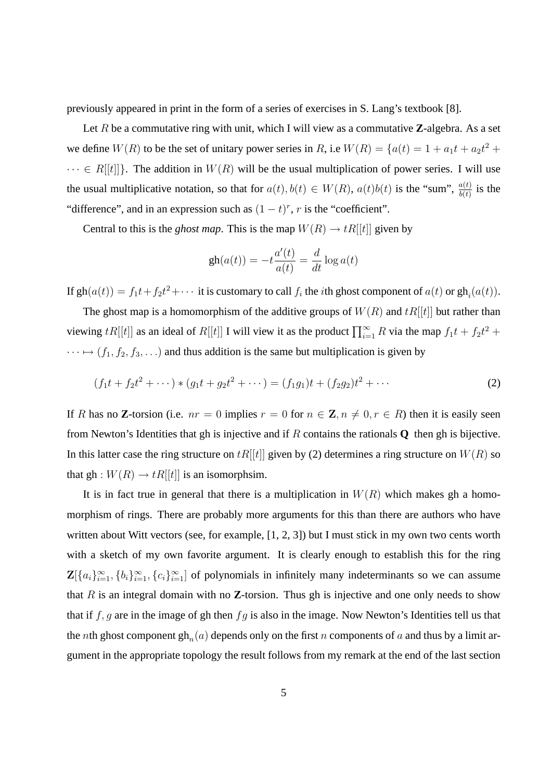previously appeared in print in the form of a series of exercises in S. Lang's textbook [8].

Let R be a commutative ring with unit, which I will view as a commutative **Z**-algebra. As a set we define  $W(R)$  to be the set of unitary power series in R, i.e  $W(R) = \{a(t) = 1 + a_1t + a_2t^2 +$  $\cdots \in R[[t]]$ . The addition in  $W(R)$  will be the usual multiplication of power series. I will use the usual multiplicative notation, so that for  $a(t)$ ,  $b(t) \in W(R)$ ,  $a(t)b(t)$  is the "sum",  $\frac{a(t)}{b(t)}$  is the "difference", and in an expression such as  $(1-t)^r$ , r is the "coefficient".

Central to this is the *ghost map*. This is the map  $W(R) \to tR[[t]]$  given by

$$
\operatorname{gh}(a(t)) = -t \frac{a'(t)}{a(t)} = \frac{d}{dt} \log a(t)
$$

If  $gh(a(t)) = f_1t + f_2t^2 + \cdots$  it is customary to call  $f_i$  the *i*th ghost component of  $a(t)$  or  $gh_i(a(t))$ .

The ghost map is a homomorphism of the additive groups of  $W(R)$  and  $tR[[t]]$  but rather than viewing  $tR[[t]]$  as an ideal of  $R[[t]]$  I will view it as the product  $\prod_{i=1}^{\infty} R$  via the map  $f_1t + f_2t^2 +$  $\cdots \mapsto (f_1, f_2, f_3, \ldots)$  and thus addition is the same but multiplication is given by

$$
(f_1t + f_2t^2 + \cdots) * (g_1t + g_2t^2 + \cdots) = (f_1g_1)t + (f_2g_2)t^2 + \cdots
$$
 (2)

If R has no **Z**-torsion (i.e.  $nr = 0$  implies  $r = 0$  for  $n \in \mathbb{Z}$ ,  $n \neq 0$ ,  $r \in R$ ) then it is easily seen from Newton's Identities that gh is injective and if R contains the rationals **Q** then gh is bijective. In this latter case the ring structure on  $tR[[t]]$  given by (2) determines a ring structure on  $W(R)$  so that gh :  $W(R) \rightarrow tR[[t]]$  is an isomorphsim.

It is in fact true in general that there is a multiplication in  $W(R)$  which makes gh a homomorphism of rings. There are probably more arguments for this than there are authors who have written about Witt vectors (see, for example, [1, 2, 3]) but I must stick in my own two cents worth with a sketch of my own favorite argument. It is clearly enough to establish this for the ring  $\mathbf{Z}[\{a_i\}_{i=1}^{\infty}, \{b_i\}_{i=1}^{\infty}, \{c_i\}_{i=1}^{\infty}]$  of polynomials in infinitely many indeterminants so we can assume that  $R$  is an integral domain with no  $\mathbb{Z}$ -torsion. Thus gh is injective and one only needs to show that if  $f, g$  are in the image of gh then  $fg$  is also in the image. Now Newton's Identities tell us that the *n*th ghost component  $\text{gh}_n(a)$  depends only on the first *n* components of *a* and thus by a limit argument in the appropriate topology the result follows from my remark at the end of the last section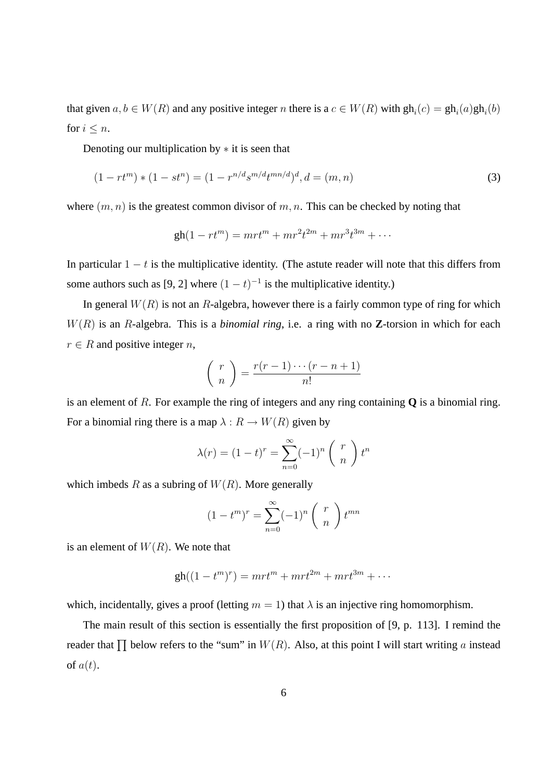that given  $a, b \in W(R)$  and any positive integer n there is a  $c \in W(R)$  with  $gh_i(c) = gh_i(a)gh_i(b)$ for  $i \leq n$ .

Denoting our multiplication by  $*$  it is seen that

$$
(1 - rt^m) * (1 - st^n) = (1 - r^{n/d}s^{m/d}t^{mn/d})^d, d = (m, n)
$$
\n(3)

where  $(m, n)$  is the greatest common divisor of  $m, n$ . This can be checked by noting that

$$
gh(1 - rt^m) = mrt^m + mr^2t^{2m} + mr^3t^{3m} + \cdots
$$

In particular  $1 - t$  is the multiplicative identity. (The astute reader will note that this differs from some authors such as [9, 2] where  $(1 - t)^{-1}$  is the multiplicative identity.)

In general  $W(R)$  is not an R-algebra, however there is a fairly common type of ring for which W(R) is an R-algebra. This is a *binomial ring*, i.e. a ring with no **Z**-torsion in which for each  $r \in R$  and positive integer n,

$$
\binom{r}{n} = \frac{r(r-1)\cdots(r-n+1)}{n!}
$$

is an element of R. For example the ring of integers and any ring containing **Q** is a binomial ring. For a binomial ring there is a map  $\lambda : R \to W(R)$  given by

$$
\lambda(r) = (1 - t)^r = \sum_{n=0}^{\infty} (-1)^n \binom{r}{n} t^n
$$

which imbeds R as a subring of  $W(R)$ . More generally

$$
(1 - tm)r = \sum_{n=0}^{\infty} (-1)n {r \choose n} t^{mn}
$$

is an element of  $W(R)$ . We note that

$$
gh((1-tm)r) = mrtm + mrt2m + mrt3m + \cdots
$$

which, incidentally, gives a proof (letting  $m = 1$ ) that  $\lambda$  is an injective ring homomorphism.

The main result of this section is essentially the first proposition of [9, p. 113]. I remind the reader that  $\prod$  below refers to the "sum" in  $W(R)$ . Also, at this point I will start writing a instead of  $a(t)$ .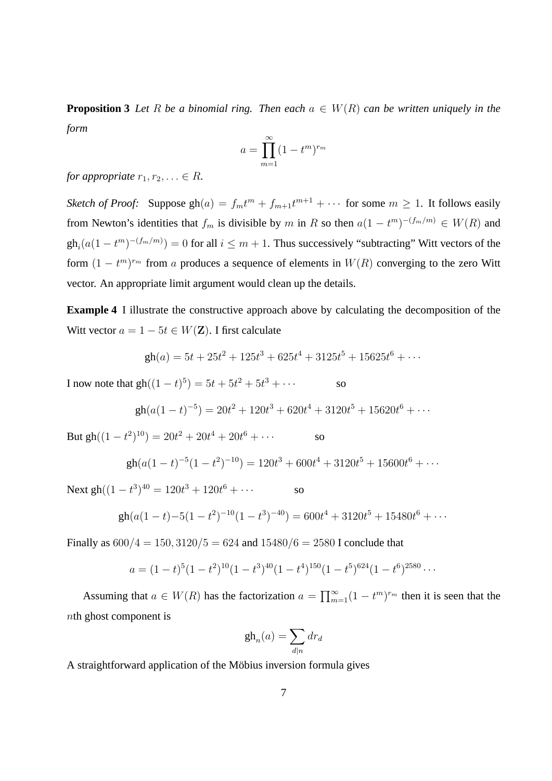**Proposition 3** *Let* R *be a binomial ring. Then each*  $a \in W(R)$  *can be written uniquely in the form*

$$
a = \prod_{m=1}^{\infty} (1 - t^m)^{r_m}
$$

*for appropriate*  $r_1, r_2, \ldots \in R$ *.* 

*Sketch of Proof:* Suppose  $gh(a) = f_m t^m + f_{m+1} t^{m+1} + \cdots$  for some  $m \ge 1$ . It follows easily from Newton's identities that  $f_m$  is divisible by m in R so then  $a(1 - t^m)^{-(f_m/m)} \in W(R)$  and  $gh_i(a(1-t^m)^{-(f_m/m)}) = 0$  for all  $i \leq m+1$ . Thus successively "subtracting" Witt vectors of the form  $(1 - t^m)^{r_m}$  from a produces a sequence of elements in  $W(R)$  converging to the zero Witt vector. An appropriate limit argument would clean up the details.

**Example 4** I illustrate the constructive approach above by calculating the decomposition of the Witt vector  $a = 1 - 5t \in W(\mathbf{Z})$ . I first calculate

$$
gh(a) = 5t + 25t2 + 125t3 + 625t4 + 3125t5 + 15625t6 + \cdots
$$

I now note that  $gh((1-t)^5) = 5t + 5t^2 + 5t^3 + \cdots$  so

$$
gh(a(1-t)^{-5}) = 20t^2 + 120t^3 + 620t^4 + 3120t^5 + 15620t^6 + \cdots
$$

But  $\text{gh}((1-t^2)^{10}) = 20t^2 + 20t^4 + 20t^6 + \cdots$  so

$$
gh(a(1-t)^{-5}(1-t^2)^{-10}) = 120t^3 + 600t^4 + 3120t^5 + 15600t^6 + \cdots
$$

Next gh( $(1 - t^3)^{40} = 120t^3 + 120t^6 + \cdots$  so

$$
gh(a(1-t)-5(1-t^2)^{-10}(1-t^3)^{-40}) = 600t^4 + 3120t^5 + 15480t^6 + \cdots
$$

Finally as  $600/4 = 150$ ,  $3120/5 = 624$  and  $15480/6 = 2580$  I conclude that

$$
a = (1-t)^5 (1-t^2)^{10} (1-t^3)^{40} (1-t^4)^{150} (1-t^5)^{624} (1-t^6)^{2580} \cdots
$$

Assuming that  $a \in W(R)$  has the factorization  $a = \prod_{m=1}^{\infty} (1 - t^m)^{r_m}$  then it is seen that the nth ghost component is

$$
\mathrm{gh}_n(a) = \sum_{d|n} dr_d
$$

A straightforward application of the Möbius inversion formula gives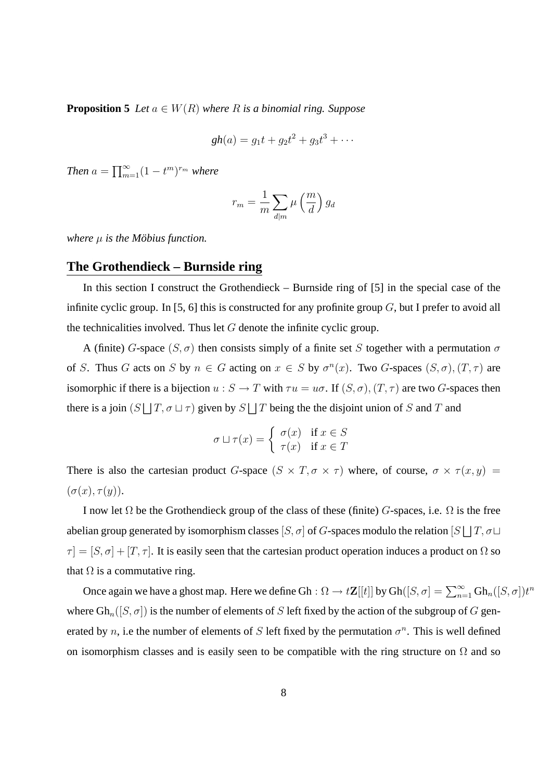**Proposition 5** *Let*  $a \in W(R)$  *where*  $R$  *is a binomial ring. Suppose* 

$$
gh(a) = g_1t + g_2t^2 + g_3t^3 + \cdots
$$

*Then*  $a = \prod_{m=1}^{\infty} (1 - t^m)^{r_m}$  *where* 

$$
r_m = \frac{1}{m} \sum_{d|m} \mu\left(\frac{m}{d}\right) g_d
$$

*where*  $\mu$  *is the Möbius function.* 

#### **The Grothendieck – Burnside ring**

In this section I construct the Grothendieck – Burnside ring of [5] in the special case of the infinite cyclic group. In [5, 6] this is constructed for any profinite group  $G$ , but I prefer to avoid all the technicalities involved. Thus let  $G$  denote the infinite cyclic group.

A (finite) G-space  $(S, \sigma)$  then consists simply of a finite set S together with a permutation  $\sigma$ of S. Thus G acts on S by  $n \in G$  acting on  $x \in S$  by  $\sigma^n(x)$ . Two G-spaces  $(S, \sigma)$ ,  $(T, \tau)$  are isomorphic if there is a bijection  $u : S \to T$  with  $\tau u = u\sigma$ . If  $(S, \sigma)$ ,  $(T, \tau)$  are two G-spaces then there is a join  $(S \cup T, \sigma \cup \tau)$  given by  $S \cup T$  being the the disjoint union of S and T and

$$
\sigma \sqcup \tau(x) = \begin{cases} \sigma(x) & \text{if } x \in S \\ \tau(x) & \text{if } x \in T \end{cases}
$$

There is also the cartesian product G-space  $(S \times T, \sigma \times \tau)$  where, of course,  $\sigma \times \tau(x, y)$  =  $(\sigma(x), \tau(y)).$ 

I now let  $\Omega$  be the Grothendieck group of the class of these (finite) G-spaces, i.e.  $\Omega$  is the free abelian group generated by isomorphism classes  $[S, \sigma]$  of G-spaces modulo the relation  $[S \cup T, \sigma \cup$  $\tau = [S, \sigma] + [T, \tau]$ . It is easily seen that the cartesian product operation induces a product on  $\Omega$  so that  $\Omega$  is a commutative ring.

Once again we have a ghost map. Here we define Gh :  $\Omega \to t\mathbf{Z}[[t]]$  by  $Gh([S,\sigma] = \sum_{n=1}^{\infty} Gh_n([S,\sigma])t^n$ where  $Gh_n([S, \sigma])$  is the number of elements of S left fixed by the action of the subgroup of G generated by n, i.e the number of elements of S left fixed by the permutation  $\sigma^n$ . This is well defined on isomorphism classes and is easily seen to be compatible with the ring structure on  $\Omega$  and so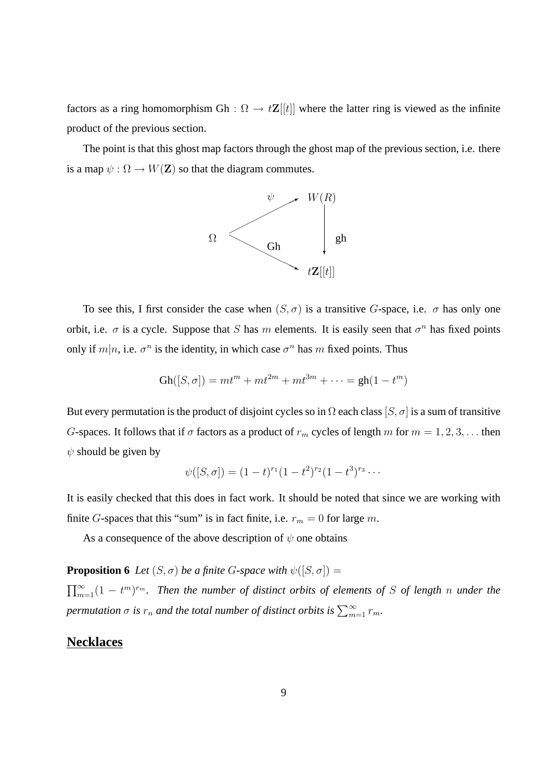factors as a ring homomorphism Gh :  $\Omega \rightarrow t\mathbf{Z}[[t]]$  where the latter ring is viewed as the infinite product of the previous section.

The point is that this ghost map factors through the ghost map of the previous section, i.e. there is a map  $\psi : \Omega \to W(Z)$  so that the diagram commutes.



To see this, I first consider the case when  $(S, \sigma)$  is a transitive G-space, i.e.  $\sigma$  has only one orbit, i.e.  $\sigma$  is a cycle. Suppose that S has m elements. It is easily seen that  $\sigma^n$  has fixed points only if  $m|n$ , i.e.  $\sigma^n$  is the identity, in which case  $\sigma^n$  has m fixed points. Thus

$$
Gh([S, \sigma]) = mt^{m} + mt^{2m} + mt^{3m} + \cdots = gh(1 - t^{m})
$$

But every permutation is the product of disjoint cycles so in  $\Omega$  each class  $[S, \sigma]$  is a sum of transitive G-spaces. It follows that if  $\sigma$  factors as a product of  $r_m$  cycles of length m for  $m = 1, 2, 3, \ldots$  then  $\psi$  should be given by

$$
\psi([S,\sigma]) = (1-t)^{r_1}(1-t^2)^{r_2}(1-t^3)^{r_3}\cdots
$$

It is easily checked that this does in fact work. It should be noted that since we are working with finite G-spaces that this "sum" is in fact finite, i.e.  $r_m = 0$  for large m.

As a consequence of the above description of  $\psi$  one obtains

**Proposition 6** *Let*  $(S, \sigma)$  *be a finite G*-space with  $\psi([S, \sigma]) =$ 

 $\prod_{m=1}^{\infty}(1-t^m)^{r_m}$ . Then the number of distinct orbits of elements of S of length n under the  $p$ ermutation  $\sigma$  is  $r_n$  and the total number of distinct orbits is  $\sum_{m=1}^\infty r_m$ .

### **Necklaces**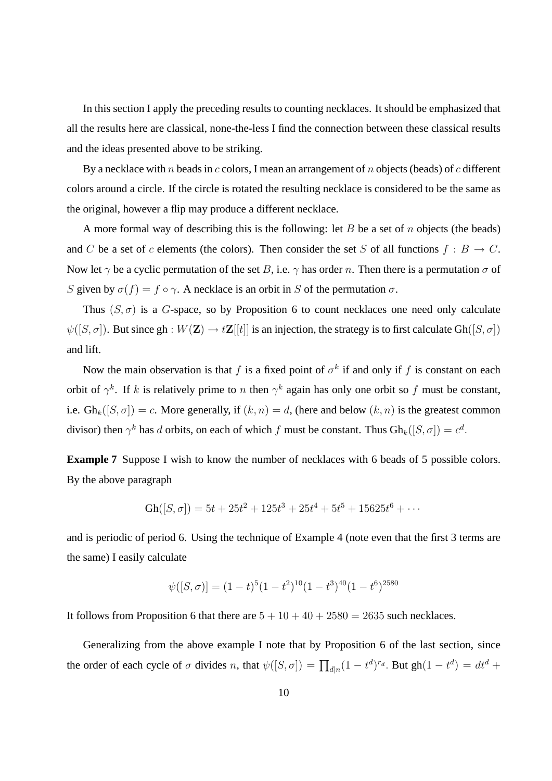In this section I apply the preceding results to counting necklaces. It should be emphasized that all the results here are classical, none-the-less I find the connection between these classical results and the ideas presented above to be striking.

By a necklace with n beads in c colors, I mean an arrangement of n objects (beads) of c different colors around a circle. If the circle is rotated the resulting necklace is considered to be the same as the original, however a flip may produce a different necklace.

A more formal way of describing this is the following: let B be a set of n objects (the beads) and C be a set of c elements (the colors). Then consider the set S of all functions  $f : B \to C$ . Now let  $\gamma$  be a cyclic permutation of the set B, i.e.  $\gamma$  has order n. Then there is a permutation  $\sigma$  of S given by  $\sigma(f) = f \circ \gamma$ . A necklace is an orbit in S of the permutation  $\sigma$ .

Thus  $(S, \sigma)$  is a G-space, so by Proposition 6 to count necklaces one need only calculate  $\psi([S, \sigma])$ . But since gh :  $W(\mathbf{Z}) \to t\mathbf{Z}[[t]]$  is an injection, the strategy is to first calculate Gh( $[S, \sigma]$ ) and lift.

Now the main observation is that f is a fixed point of  $\sigma^k$  if and only if f is constant on each orbit of  $\gamma^k$ . If k is relatively prime to n then  $\gamma^k$  again has only one orbit so f must be constant, i.e.  $Gh_k([S, \sigma]) = c$ . More generally, if  $(k, n) = d$ , (here and below  $(k, n)$  is the greatest common divisor) then  $\gamma^k$  has d orbits, on each of which f must be constant. Thus  $Gh_k([S, \sigma]) = c^d$ .

**Example 7** Suppose I wish to know the number of necklaces with 6 beads of 5 possible colors. By the above paragraph

$$
Gh([S, \sigma]) = 5t + 25t^2 + 125t^3 + 25t^4 + 5t^5 + 15625t^6 + \cdots
$$

and is periodic of period 6. Using the technique of Example 4 (note even that the first 3 terms are the same) I easily calculate

$$
\psi([S,\sigma)] = (1-t)^5(1-t^2)^{10}(1-t^3)^{40}(1-t^6)^{2580}
$$

It follows from Proposition 6 that there are  $5 + 10 + 40 + 2580 = 2635$  such necklaces.

Generalizing from the above example I note that by Proposition 6 of the last section, since the order of each cycle of  $\sigma$  divides n, that  $\psi([S, \sigma]) = \prod_{d|n} (1 - t^d)^{r_d}$ . But  $gh(1 - t^d) = dt^d +$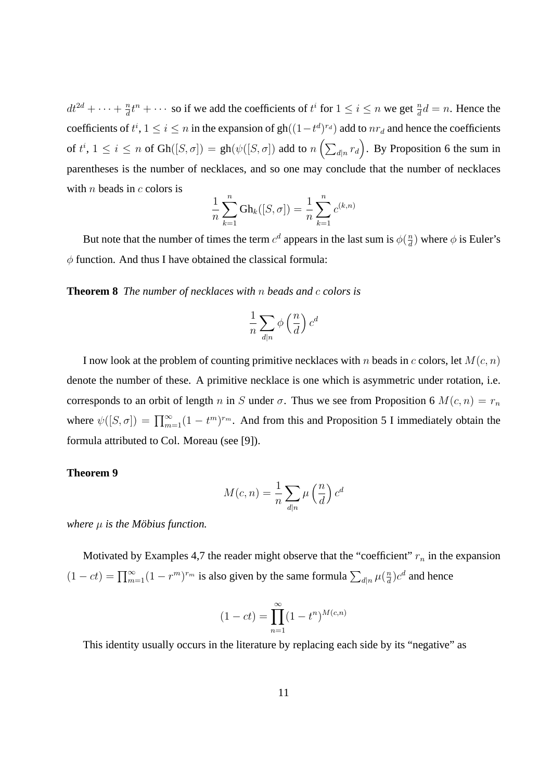$dt^{2d} + \cdots + \frac{n}{d}$  $\frac{n}{d}t^n + \cdots$  so if we add the coefficients of  $t^i$  for  $1 \le i \le n$  we get  $\frac{n}{d}d = n$ . Hence the coefficients of  $t^i$ ,  $1 \le i \le n$  in the expansion of  $gh((1-t^d)^{r_d})$  add to  $nr_d$  and hence the coefficients of  $t^i$ ,  $1 \le i \le n$  of  $Gh([S, \sigma]) = gh(\psi([S, \sigma])$  add to  $n\left(\sum_{d|n} r_d\right)$ . By Proposition 6 the sum in parentheses is the number of necklaces, and so one may conclude that the number of necklaces with *n* beads in *c* colors is

$$
\frac{1}{n}\sum_{k=1}^{n} Gh_k([S,\sigma]) = \frac{1}{n}\sum_{k=1}^{n} c^{(k,n)}
$$

But note that the number of times the term  $c^d$  appears in the last sum is  $\phi(\frac{n}{d})$  $\frac{n}{d}$ ) where  $\phi$  is Euler's  $\phi$  function. And thus I have obtained the classical formula:

**Theorem 8** *The number of necklaces with* n *beads and* c *colors is*

$$
\frac{1}{n}\sum_{d|n} \phi\left(\frac{n}{d}\right) c^d
$$

I now look at the problem of counting primitive necklaces with n beads in c colors, let  $M(c, n)$ denote the number of these. A primitive necklace is one which is asymmetric under rotation, i.e. corresponds to an orbit of length n in S under  $\sigma$ . Thus we see from Proposition 6  $M(c, n) = r_n$ where  $\psi([S, \sigma]) = \prod_{m=1}^{\infty} (1 - t^m)^{r_m}$ . And from this and Proposition 5 I immediately obtain the formula attributed to Col. Moreau (see [9]).

#### **Theorem 9**

$$
M(c,n) = \frac{1}{n} \sum_{d|n} \mu\left(\frac{n}{d}\right) c^d
$$

*where*  $\mu$  *is the Möbius function.* 

Motivated by Examples 4,7 the reader might observe that the "coefficient"  $r_n$  in the expansion  $(1 - ct) = \prod_{m=1}^{\infty} (1 - r^m)^{r_m}$  is also given by the same formula  $\sum_{d|n} \mu(\frac{n}{d})$  $\frac{n}{d}$ ) $c^d$  and hence

$$
(1 - ct) = \prod_{n=1}^{\infty} (1 - t^n)^{M(c,n)}
$$

This identity usually occurs in the literature by replacing each side by its "negative" as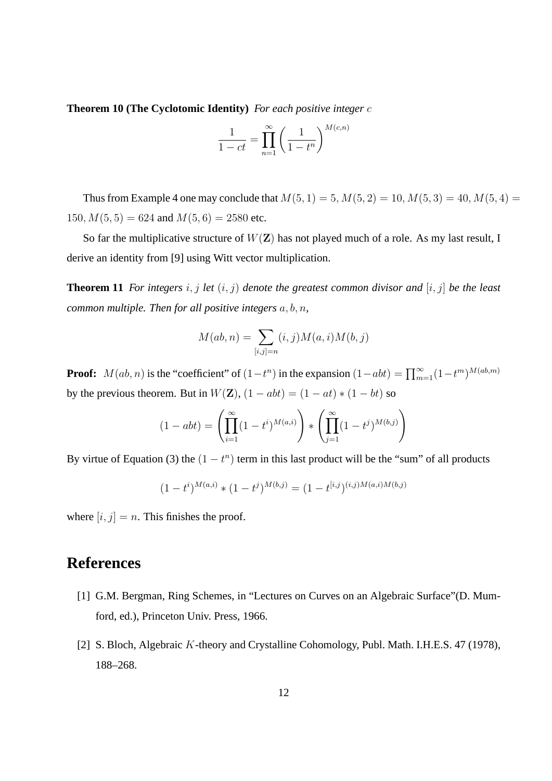**Theorem 10 (The Cyclotomic Identity)** *For each positive integer* c

$$
\frac{1}{1-ct} = \prod_{n=1}^{\infty} \left(\frac{1}{1-t^n}\right)^{M(c,n)}
$$

Thus from Example 4 one may conclude that  $M(5, 1) = 5, M(5, 2) = 10, M(5, 3) = 40, M(5, 4) =$ 150,  $M(5, 5) = 624$  and  $M(5, 6) = 2580$  etc.

So far the multiplicative structure of  $W(Z)$  has not played much of a role. As my last result, I derive an identity from [9] using Witt vector multiplication.

**Theorem 11** *For integers*  $i, j$  *let*  $(i, j)$  *denote the greatest common divisor and*  $[i, j]$  *be the least common multiple. Then for all positive integers* a, b, n*,*

$$
M(ab,n) = \sum_{[i,j]=n} (i,j)M(a,i)M(b,j)
$$

**Proof:**  $M(ab, n)$  is the "coefficient" of  $(1 - t^n)$  in the expansion  $(1 - abt) = \prod_{m=1}^{\infty} (1 - t^m)^{M(ab, m)}$ by the previous theorem. But in  $W(\mathbf{Z})$ ,  $(1 - abt) = (1 - at) * (1 - bt)$  so

$$
(1 - abt) = \left(\prod_{i=1}^{\infty} (1 - t^i)^{M(a,i)}\right) * \left(\prod_{j=1}^{\infty} (1 - t^j)^{M(b,j)}\right)
$$

By virtue of Equation (3) the  $(1 - t^n)$  term in this last product will be the "sum" of all products

$$
(1-t^i)^{M(a,i)} * (1-t^j)^{M(b,j)} = (1-t^{[i,j)})^{(i,j)M(a,i)M(b,j)}
$$

where  $[i, j] = n$ . This finishes the proof.

# **References**

- [1] G.M. Bergman, Ring Schemes, in "Lectures on Curves on an Algebraic Surface" (D. Mumford, ed.), Princeton Univ. Press, 1966.
- [2] S. Bloch, Algebraic K-theory and Crystalline Cohomology, Publ. Math. I.H.E.S. 47 (1978), 188–268.